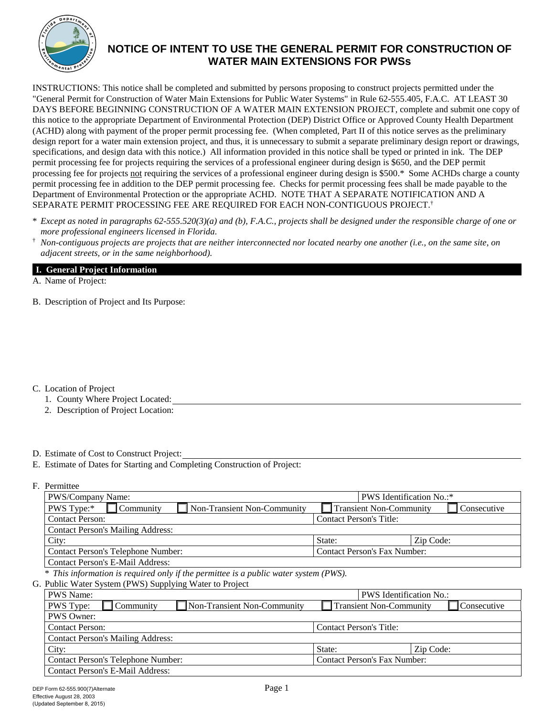

 specifications, and design data with this notice.) All information provided in this notice shall be typed or printed in ink. The DEP permit processing fee in addition to the DEP permit processing fee. Checks for permit processing fees shall be made payable to the INSTRUCTIONS: This notice shall be completed and submitted by persons proposing to construct projects permitted under the "General Permit for Construction of Water Main Extensions for Public Water Systems" in Rule 62-555.405, F.A.C. AT LEAST 30 DAYS BEFORE BEGINNING CONSTRUCTION OF A WATER MAIN EXTENSION PROJECT, complete and submit one copy of this notice to the appropriate Department of Environmental Protection (DEP) District Office or Approved County Health Department (ACHD) along with payment of the proper permit processing fee. (When completed, Part II of this notice serves as the preliminary design report for a water main extension project, and thus, it is unnecessary to submit a separate preliminary design report or drawings, permit processing fee for projects requiring the services of a professional engineer during design is \$650, and the DEP permit processing fee for projects not requiring the services of a professional engineer during design is \$500.\* Some ACHDs charge a county Department of Environmental Protection or the appropriate ACHD. NOTE THAT A SEPARATE NOTIFICATION AND A SEPARATE PERMIT PROCESSING FEE ARE REQUIRED FOR EACH NON-CONTIGUOUS PROJECT.†

- \* *Except as noted in paragraphs 62-555.520(3)(a) and (b), F.A.C., projects shall be designed under the responsible charge of one or more professional engineers licensed in Florida.*
- $\dagger$  *Non-contiguous projects are projects that are neither interconnected nor located nearby one another (i.e., on the same site, on adjacent streets, or in the same neighborhood).*

#### **I. General Project Information**

A. Name of Project:

B. Description of Project and Its Purpose:

C. Location of Project

- 1. County Where Project Located:
- 2. Description of Project Location:

## D. Estimate of Cost to Construct Project:

E. Estimate of Dates for Starting and Completing Construction of Project:

F. Permittee

(Updated September 8, 2015)

| PWS/Company Name:                                                                    | <b>PWS</b> Identification No.:*     |             |  |
|--------------------------------------------------------------------------------------|-------------------------------------|-------------|--|
| PWS Type:*<br><b>Non-Transient Non-Community</b><br>Community                        | <b>Transient Non-Community</b>      | Consecutive |  |
| <b>Contact Person:</b>                                                               | <b>Contact Person's Title:</b>      |             |  |
| <b>Contact Person's Mailing Address:</b>                                             |                                     |             |  |
| City:                                                                                | State:                              | Zip Code:   |  |
| Contact Person's Telephone Number:                                                   | <b>Contact Person's Fax Number:</b> |             |  |
| Contact Person's E-Mail Address:                                                     |                                     |             |  |
| * This information is required only if the permittee is a public water system (PWS). |                                     |             |  |
| G. Public Water System (PWS) Supplying Water to Project                              |                                     |             |  |
| <b>PWS Name:</b>                                                                     | <b>PWS</b> Identification No.:      |             |  |
| Non-Transient Non-Community<br><b>PWS</b> Type:<br>Community                         | <b>Transient Non-Community</b>      | Consecutive |  |
| <b>PWS Owner:</b>                                                                    |                                     |             |  |
| <b>Contact Person:</b>                                                               | <b>Contact Person's Title:</b>      |             |  |
| <b>Contact Person's Mailing Address:</b>                                             |                                     |             |  |
| City:                                                                                | State:                              | Zip Code:   |  |

Contact Person's Telephone Number: Contact Person's Fax Number: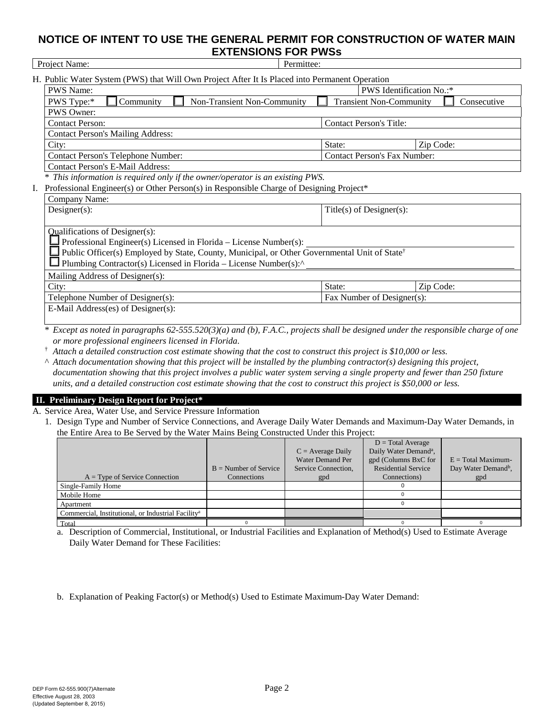|    | Project Name:<br>Permittee:                                                                                                      |  |                                     |           |             |  |  |
|----|----------------------------------------------------------------------------------------------------------------------------------|--|-------------------------------------|-----------|-------------|--|--|
|    | H. Public Water System (PWS) that Will Own Project After It Is Placed into Permanent Operation                                   |  |                                     |           |             |  |  |
|    | PWS Identification No.:*<br><b>PWS Name:</b>                                                                                     |  |                                     |           |             |  |  |
|    | Community<br>Non-Transient Non-Community<br>PWS Type:*                                                                           |  | <b>Transient Non-Community</b>      |           | Consecutive |  |  |
|    | <b>PWS Owner:</b>                                                                                                                |  |                                     |           |             |  |  |
|    | <b>Contact Person:</b>                                                                                                           |  | <b>Contact Person's Title:</b>      |           |             |  |  |
|    | <b>Contact Person's Mailing Address:</b>                                                                                         |  |                                     |           |             |  |  |
|    | City:                                                                                                                            |  | State:                              | Zip Code: |             |  |  |
|    | <b>Contact Person's Telephone Number:</b>                                                                                        |  | <b>Contact Person's Fax Number:</b> |           |             |  |  |
|    | <b>Contact Person's E-Mail Address:</b>                                                                                          |  |                                     |           |             |  |  |
|    | This information is required only if the owner/operator is an existing PWS.                                                      |  |                                     |           |             |  |  |
| I. | Professional Engineer(s) or Other Person(s) in Responsible Charge of Designing Project*                                          |  |                                     |           |             |  |  |
|    | Company Name:                                                                                                                    |  |                                     |           |             |  |  |
|    | Designer(s):                                                                                                                     |  | Title(s) of Designer(s):            |           |             |  |  |
|    |                                                                                                                                  |  |                                     |           |             |  |  |
|    | <b>Qualifications of Designer(s):</b>                                                                                            |  |                                     |           |             |  |  |
|    | Professional Engineer(s) Licensed in Florida – License Number(s):                                                                |  |                                     |           |             |  |  |
|    | Public Officer(s) Employed by State, County, Municipal, or Other Governmental Unit of State <sup>†</sup>                         |  |                                     |           |             |  |  |
|    | Plumbing Contractor(s) Licensed in Florida – License Number(s): $\wedge$                                                         |  |                                     |           |             |  |  |
|    | Mailing Address of Designer(s):                                                                                                  |  |                                     |           |             |  |  |
|    | City:                                                                                                                            |  | State:                              | Zip Code: |             |  |  |
|    | Telephone Number of Designer(s):                                                                                                 |  | Fax Number of Designer(s):          |           |             |  |  |
|    | E-Mail Address(es) of Designer(s):                                                                                               |  |                                     |           |             |  |  |
|    |                                                                                                                                  |  |                                     |           |             |  |  |
|    | Except as noted in paragraphs $62-555.520(3)(a)$ and (b), F.A.C., projects shall be designed under the responsible charge of one |  |                                     |           |             |  |  |

*or more professional engineers licensed in Florida.*

† *Attach a detailed construction cost estimate showing that the cost to construct this project is \$10,000 or less.* 

^ *Attach documentation showing that this project will be installed by the plumbing contractor(s) designing this project, documentation showing that this project involves a public water system serving a single property and fewer than 250 fixture units, and a detailed construction cost estimate showing that the cost to construct this project is \$50,000 or less.* 

## **II. Preliminary Design Report for Project\***

A. Service Area, Water Use, and Service Pressure Information

1. Design Type and Number of Service Connections, and Average Daily Water Demands and Maximum-Day Water Demands, in the Entire Area to Be Served by the Water Mains Being Constructed Under this Project:

|                                                                | $B =$ Number of Service | $C = Average Daily$<br><b>Water Demand Per</b><br>Service Connection, | $D = Total Average$<br>Daily Water Demand <sup>a</sup> ,<br>gpd (Columns BxC for<br><b>Residential Service</b> | $E = Total Maximum$ -<br>Day Water Demand <sup>b</sup> , |
|----------------------------------------------------------------|-------------------------|-----------------------------------------------------------------------|----------------------------------------------------------------------------------------------------------------|----------------------------------------------------------|
| $A = Type of Service Connection$                               | Connections             | gpd                                                                   | Connections)                                                                                                   | gpd                                                      |
| Single-Family Home                                             |                         |                                                                       |                                                                                                                |                                                          |
| Mobile Home                                                    |                         |                                                                       |                                                                                                                |                                                          |
| Apartment                                                      |                         |                                                                       |                                                                                                                |                                                          |
| Commercial, Institutional, or Industrial Facility <sup>a</sup> |                         |                                                                       |                                                                                                                |                                                          |
| Total                                                          |                         |                                                                       |                                                                                                                |                                                          |

a. Description of Commercial, Institutional, or Industrial Facilities and Explanation of Method(s) Used to Estimate Average Daily Water Demand for These Facilities:

b. Explanation of Peaking Factor(s) or Method(s) Used to Estimate Maximum-Day Water Demand: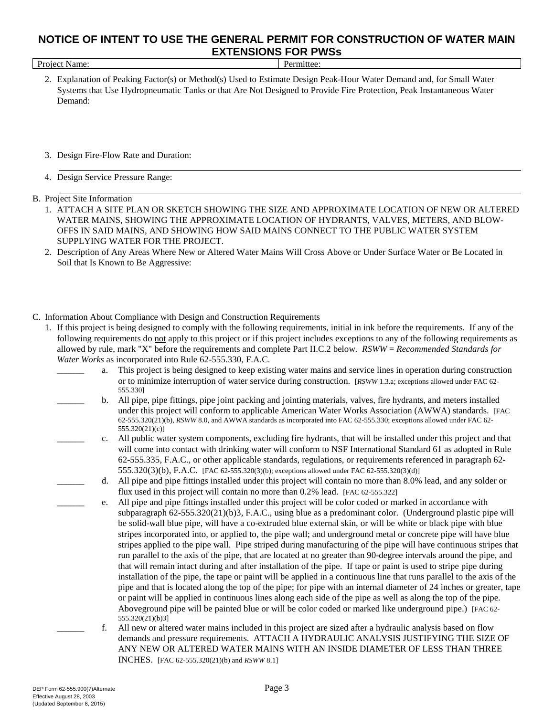| Project Name: |
|---------------|
|---------------|

Permittee:

- 2. Explanation of Peaking Factor(s) or Method(s) Used to Estimate Design Peak-Hour Water Demand and, for Small Water Systems that Use Hydropneumatic Tanks or that Are Not Designed to Provide Fire Protection, Peak Instantaneous Water Demand:
- 3. Design Fire-Flow Rate and Duration:
- 4. Design Service Pressure Range:

## B. Project Site Information

- 1. ATTACH A SITE PLAN OR SKETCH SHOWING THE SIZE AND APPROXIMATE LOCATION OF NEW OR ALTERED WATER MAINS, SHOWING THE APPROXIMATE LOCATION OF HYDRANTS, VALVES, METERS, AND BLOW-OFFS IN SAID MAINS, AND SHOWING HOW SAID MAINS CONNECT TO THE PUBLIC WATER SYSTEM SUPPLYING WATER FOR THE PROJECT.
- 2. Description of Any Areas Where New or Altered Water Mains Will Cross Above or Under Surface Water or Be Located in Soil that Is Known to Be Aggressive:

## C. Information About Compliance with Design and Construction Requirements

- following requirements do not apply to this project or if this project includes exceptions to any of the following requirements as allowed by rule, mark "X" before the requirements and complete Part II.C.2 below. *RSWW* = *Recommended Standards for* 1. If this project is being designed to comply with the following requirements, initial in ink before the requirements. If any of the *Water Works* as incorporated into Rule 62-555.330, F.A.C.
	- or to minimize interruption of water service during construction. [*RSWW* 1.3.a; exceptions allowed under FAC 62 \_\_\_\_\_\_ a. This project is being designed to keep existing water mains and service lines in operation during construction 555.330]
	- under this project will conform to applicable American Water Works Association (AWWA) standards. [FAC \_\_\_\_\_\_ b. All pipe, pipe fittings, pipe joint packing and jointing materials, valves, fire hydrants, and meters installed 62-555.320(21)(b), *RSWW* 8.0, and AWWA standards as incorporated into FAC 62-555.330; exceptions allowed under FAC 62 555.320(21)(c)]
		- 555.320(3)(b), F.A.C. [FAC 62-555.320(3)(b); exceptions allowed under FAC 62-555.320(3)(d)] \_\_\_\_\_\_ c. All public water system components, excluding fire hydrants, that will be installed under this project and that will come into contact with drinking water will conform to NSF International Standard 61 as adopted in Rule 62-555.335, F.A.C., or other applicable standards, regulations, or requirements referenced in paragraph 62
		- flux used in this project will contain no more than 0.2% lead. [FAC 62-555.322] \_\_\_\_\_\_ d. All pipe and pipe fittings installed under this project will contain no more than 8.0% lead, and any solder or
	- or paint will be applied in continuous lines along each side of the pipe as well as along the top of the pipe. Aboveground pipe will be painted blue or will be color coded or marked like underground pipe.) [FAC 62 e. All pipe and pipe fittings installed under this project will be color coded or marked in accordance with subparagraph 62-555.320(21)(b)3, F.A.C., using blue as a predominant color. (Underground plastic pipe will be solid-wall blue pipe, will have a co-extruded blue external skin, or will be white or black pipe with blue stripes incorporated into, or applied to, the pipe wall; and underground metal or concrete pipe will have blue stripes applied to the pipe wall. Pipe striped during manufacturing of the pipe will have continuous stripes that run parallel to the axis of the pipe, that are located at no greater than 90-degree intervals around the pipe, and that will remain intact during and after installation of the pipe. If tape or paint is used to stripe pipe during installation of the pipe, the tape or paint will be applied in a continuous line that runs parallel to the axis of the pipe and that is located along the top of the pipe; for pipe with an internal diameter of 24 inches or greater, tape 555.320(21)(b)3]
		- INCHES. [FAC 62-555.320(21)(b) and *RSWW* 8.1] f. All new or altered water mains included in this project are sized after a hydraulic analysis based on flow demands and pressure requirements. ATTACH A HYDRAULIC ANALYSIS JUSTIFYING THE SIZE OF ANY NEW OR ALTERED WATER MAINS WITH AN INSIDE DIAMETER OF LESS THAN THREE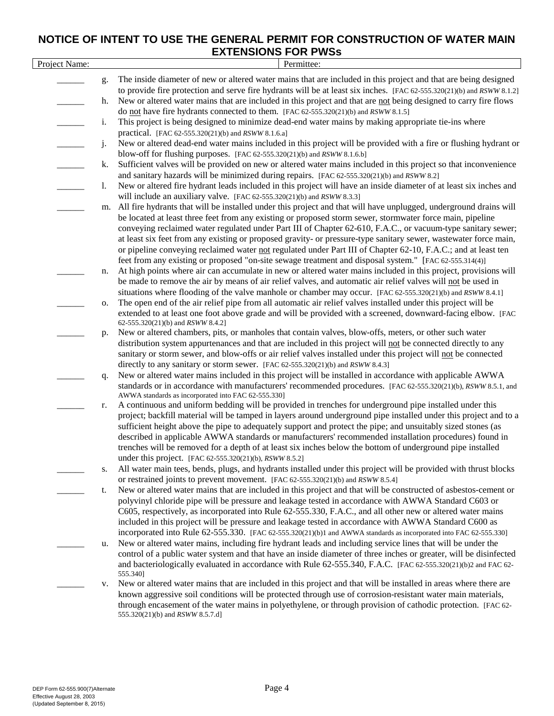|               |    | בטוי ו טוס ו טוסוטאוב                                                                                                                                          |
|---------------|----|----------------------------------------------------------------------------------------------------------------------------------------------------------------|
| Project Name: |    | Permittee:                                                                                                                                                     |
|               | g. | The inside diameter of new or altered water mains that are included in this project and that are being designed                                                |
|               |    | to provide fire protection and serve fire hydrants will be at least six inches. [FAC 62-555.320(21)(b) and RSWW 8.1.2]                                         |
|               | h. | New or altered water mains that are included in this project and that are not being designed to carry fire flows                                               |
|               |    | do not have fire hydrants connected to them. [FAC 62-555.320(21)(b) and RSWW 8.1.5]                                                                            |
|               | i. | This project is being designed to minimize dead-end water mains by making appropriate tie-ins where                                                            |
|               |    | practical. [FAC 62-555.320(21)(b) and RSWW 8.1.6.a]                                                                                                            |
|               | j. | New or altered dead-end water mains included in this project will be provided with a fire or flushing hydrant or                                               |
|               |    | blow-off for flushing purposes. [FAC 62-555.320(21)(b) and RSWW 8.1.6.b]                                                                                       |
|               | k. | Sufficient valves will be provided on new or altered water mains included in this project so that inconvenience                                                |
|               |    | and sanitary hazards will be minimized during repairs. [FAC 62-555.320(21)(b) and RSWW 8.2]                                                                    |
|               | 1. | New or altered fire hydrant leads included in this project will have an inside diameter of at least six inches and                                             |
|               |    | will include an auxiliary valve. [FAC 62-555.320(21)(b) and RSWW 8.3.3]                                                                                        |
|               | m. | All fire hydrants that will be installed under this project and that will have unplugged, underground drains will                                              |
|               |    | be located at least three feet from any existing or proposed storm sewer, stormwater force main, pipeline                                                      |
|               |    | conveying reclaimed water regulated under Part III of Chapter 62-610, F.A.C., or vacuum-type sanitary sewer;                                                   |
|               |    | at least six feet from any existing or proposed gravity- or pressure-type sanitary sewer, wastewater force main,                                               |
|               |    | or pipeline conveying reclaimed water not regulated under Part III of Chapter 62-10, F.A.C.; and at least ten                                                  |
|               |    | feet from any existing or proposed "on-site sewage treatment and disposal system." [FAC 62-555.314(4)]                                                         |
|               | n. | At high points where air can accumulate in new or altered water mains included in this project, provisions will                                                |
|               |    | be made to remove the air by means of air relief valves, and automatic air relief valves will not be used in                                                   |
|               |    | situations where flooding of the valve manhole or chamber may occur. [FAC 62-555.320(21)(b) and RSWW 8.4.1]                                                    |
|               | 0. | The open end of the air relief pipe from all automatic air relief valves installed under this project will be                                                  |
|               |    | extended to at least one foot above grade and will be provided with a screened, downward-facing elbow. [FAC                                                    |
|               |    | 62-555.320(21)(b) and RSWW 8.4.2]                                                                                                                              |
|               | p. | New or altered chambers, pits, or manholes that contain valves, blow-offs, meters, or other such water                                                         |
|               |    | distribution system appurtenances and that are included in this project will not be connected directly to any                                                  |
|               |    | sanitary or storm sewer, and blow-offs or air relief valves installed under this project will not be connected                                                 |
|               |    | directly to any sanitary or storm sewer. [FAC 62-555.320(21)(b) and RSWW 8.4.3]                                                                                |
|               | q. | New or altered water mains included in this project will be installed in accordance with applicable AWWA                                                       |
|               |    | standards or in accordance with manufacturers' recommended procedures. [FAC 62-555.320(21)(b), RSWW 8.5.1, and                                                 |
|               |    | AWWA standards as incorporated into FAC 62-555.330]<br>A continuous and uniform bedding will be provided in trenches for underground pipe installed under this |
|               | r. | project; backfill material will be tamped in layers around underground pipe installed under this project and to a                                              |
|               |    | sufficient height above the pipe to adequately support and protect the pipe; and unsuitably sized stones (as                                                   |
|               |    | described in applicable AWWA standards or manufacturers' recommended installation procedures) found in                                                         |
|               |    | trenches will be removed for a depth of at least six inches below the bottom of underground pipe installed                                                     |
|               |    | under this project. [FAC 62-555.320(21)(b), RSWW 8.5.2]                                                                                                        |
|               | s. | All water main tees, bends, plugs, and hydrants installed under this project will be provided with thrust blocks                                               |
|               |    | or restrained joints to prevent movement. [FAC 62-555.320(21)(b) and RSWW 8.5.4]                                                                               |
|               | t. | New or altered water mains that are included in this project and that will be constructed of asbestos-cement or                                                |
|               |    | polyvinyl chloride pipe will be pressure and leakage tested in accordance with AWWA Standard C603 or                                                           |
|               |    | C605, respectively, as incorporated into Rule 62-555.330, F.A.C., and all other new or altered water mains                                                     |
|               |    | included in this project will be pressure and leakage tested in accordance with AWWA Standard C600 as                                                          |
|               |    | incorporated into Rule 62-555.330. [FAC 62-555.320(21)(b)1 and AWWA standards as incorporated into FAC 62-555.330]                                             |
|               | u. | New or altered water mains, including fire hydrant leads and including service lines that will be under the                                                    |
|               |    | control of a public water system and that have an inside diameter of three inches or greater, will be disinfected                                              |
|               |    | and bacteriologically evaluated in accordance with Rule 62-555.340, F.A.C. [FAC 62-555.320(21)(b)2 and FAC 62-                                                 |
|               |    | 555.340]                                                                                                                                                       |
|               | v. | New or altered water mains that are included in this project and that will be installed in areas where there are                                               |
|               |    | known aggressive soil conditions will be protected through use of corrosion-resistant water main materials,                                                    |
|               |    | through encasement of the water mains in polyethylene, or through provision of cathodic protection. [FAC 62-                                                   |
|               |    | 555.320(21)(b) and RSWW 8.5.7.d]                                                                                                                               |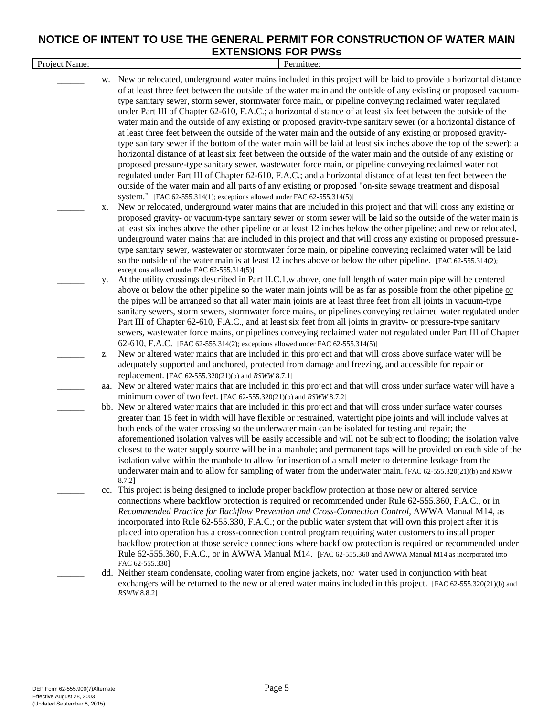| Project Name: |    | Permittee:                                                                                                                                                                                                                                                                                                                                                |
|---------------|----|-----------------------------------------------------------------------------------------------------------------------------------------------------------------------------------------------------------------------------------------------------------------------------------------------------------------------------------------------------------|
|               |    | w. New or relocated, underground water mains included in this project will be laid to provide a horizontal distance<br>of at least three feet between the outside of the water main and the outside of any existing or proposed vacuum-                                                                                                                   |
|               |    | type sanitary sewer, storm sewer, stormwater force main, or pipeline conveying reclaimed water regulated                                                                                                                                                                                                                                                  |
|               |    | under Part III of Chapter 62-610, F.A.C.; a horizontal distance of at least six feet between the outside of the<br>water main and the outside of any existing or proposed gravity-type sanitary sewer (or a horizontal distance of                                                                                                                        |
|               |    | at least three feet between the outside of the water main and the outside of any existing or proposed gravity-                                                                                                                                                                                                                                            |
|               |    | type sanitary sewer if the bottom of the water main will be laid at least six inches above the top of the sewer); a                                                                                                                                                                                                                                       |
|               |    | horizontal distance of at least six feet between the outside of the water main and the outside of any existing or<br>proposed pressure-type sanitary sewer, wastewater force main, or pipeline conveying reclaimed water not<br>regulated under Part III of Chapter 62-610, F.A.C.; and a horizontal distance of at least ten feet between the            |
|               |    | outside of the water main and all parts of any existing or proposed "on-site sewage treatment and disposal                                                                                                                                                                                                                                                |
|               | X. | system." [FAC 62-555.314(1); exceptions allowed under FAC 62-555.314(5)]<br>New or relocated, underground water mains that are included in this project and that will cross any existing or                                                                                                                                                               |
|               |    | proposed gravity- or vacuum-type sanitary sewer or storm sewer will be laid so the outside of the water main is<br>at least six inches above the other pipeline or at least 12 inches below the other pipeline; and new or relocated,<br>underground water mains that are included in this project and that will cross any existing or proposed pressure- |
|               |    | type sanitary sewer, wastewater or stormwater force main, or pipeline conveying reclaimed water will be laid<br>so the outside of the water main is at least 12 inches above or below the other pipeline. [FAC 62-555.314(2);<br>exceptions allowed under FAC 62-555.314(5)]                                                                              |
|               | y. | At the utility crossings described in Part II.C.1.w above, one full length of water main pipe will be centered<br>above or below the other pipeline so the water main joints will be as far as possible from the other pipeline or                                                                                                                        |
|               |    | the pipes will be arranged so that all water main joints are at least three feet from all joints in vacuum-type                                                                                                                                                                                                                                           |
|               |    | sanitary sewers, storm sewers, stormwater force mains, or pipelines conveying reclaimed water regulated under                                                                                                                                                                                                                                             |
|               |    | Part III of Chapter 62-610, F.A.C., and at least six feet from all joints in gravity- or pressure-type sanitary                                                                                                                                                                                                                                           |
|               |    | sewers, wastewater force mains, or pipelines conveying reclaimed water not regulated under Part III of Chapter                                                                                                                                                                                                                                            |
|               | z. | 62-610, F.A.C. [FAC 62-555.314(2); exceptions allowed under FAC 62-555.314(5)]<br>New or altered water mains that are included in this project and that will cross above surface water will be                                                                                                                                                            |
|               |    | adequately supported and anchored, protected from damage and freezing, and accessible for repair or                                                                                                                                                                                                                                                       |
|               |    | replacement. [FAC 62-555.320(21)(b) and RSWW 8.7.1]                                                                                                                                                                                                                                                                                                       |
|               |    | aa. New or altered water mains that are included in this project and that will cross under surface water will have a                                                                                                                                                                                                                                      |
|               |    | minimum cover of two feet. [FAC $62-555.320(21)(b)$ and $RSWW 8.7.2$ ]                                                                                                                                                                                                                                                                                    |
|               |    | bb. New or altered water mains that are included in this project and that will cross under surface water courses<br>greater than 15 feet in width will have flexible or restrained, watertight pipe joints and will include valves at<br>both ends of the water crossing so the underwater main can be isolated for testing and repair; the               |
|               |    | aforementioned isolation valves will be easily accessible and will not be subject to flooding; the isolation valve                                                                                                                                                                                                                                        |
|               |    | closest to the water supply source will be in a manhole; and permanent taps will be provided on each side of the                                                                                                                                                                                                                                          |
|               |    | isolation valve within the manhole to allow for insertion of a small meter to determine leakage from the                                                                                                                                                                                                                                                  |
|               |    | underwater main and to allow for sampling of water from the underwater main. [FAC 62-555.320(21)(b) and RSWW<br>8.7.2]                                                                                                                                                                                                                                    |
|               |    | cc. This project is being designed to include proper backflow protection at those new or altered service                                                                                                                                                                                                                                                  |
|               |    | connections where backflow protection is required or recommended under Rule 62-555.360, F.A.C., or in<br>Recommended Practice for Backflow Prevention and Cross-Connection Control, AWWA Manual M14, as                                                                                                                                                   |
|               |    | incorporated into Rule 62-555.330, F.A.C.; or the public water system that will own this project after it is                                                                                                                                                                                                                                              |
|               |    | placed into operation has a cross-connection control program requiring water customers to install proper                                                                                                                                                                                                                                                  |
|               |    | backflow protection at those service connections where backflow protection is required or recommended under                                                                                                                                                                                                                                               |
|               |    | Rule 62-555.360, F.A.C., or in AWWA Manual M14. [FAC 62-555.360 and AWWA Manual M14 as incorporated into<br>FAC 62-555.330]                                                                                                                                                                                                                               |
|               |    | dd. Neither steam condensate, cooling water from engine jackets, nor water used in conjunction with heat<br>exchangers will be returned to the new or altered water mains included in this project. [FAC 62-555.320(21)(b) and<br>RSWW 8.8.2]                                                                                                             |
|               |    |                                                                                                                                                                                                                                                                                                                                                           |
|               |    |                                                                                                                                                                                                                                                                                                                                                           |
|               |    |                                                                                                                                                                                                                                                                                                                                                           |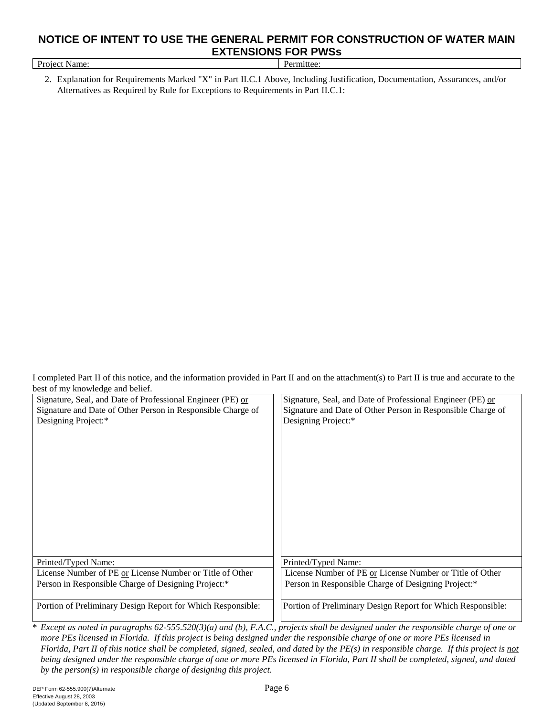| Project Name:                                                                                                               | Permittee: |
|-----------------------------------------------------------------------------------------------------------------------------|------------|
| 2. Explanation for Requirements Marked "X" in Part II.C.1 Above. Including Justification. Documentation. Assurances, and/or |            |

Alternatives as Required by Rule for Exceptions to Requirements in Part II.C.1:

I completed Part II of this notice, and the information provided in Part II and on the attachment(s) to Part II is true and accurate to the best of my knowledge and belief.

| $\cos \theta$ of $\sin \theta$ and $\theta$ and $\theta$ exheri-<br>Signature, Seal, and Date of Professional Engineer (PE) or<br>Signature and Date of Other Person in Responsible Charge of<br>Designing Project:* | Signature, Seal, and Date of Professional Engineer (PE) or<br>Signature and Date of Other Person in Responsible Charge of<br>Designing Project:* |
|----------------------------------------------------------------------------------------------------------------------------------------------------------------------------------------------------------------------|--------------------------------------------------------------------------------------------------------------------------------------------------|
| Printed/Typed Name:                                                                                                                                                                                                  | Printed/Typed Name:                                                                                                                              |
| License Number of PE or License Number or Title of Other                                                                                                                                                             | License Number of PE or License Number or Title of Other                                                                                         |
| Person in Responsible Charge of Designing Project:*                                                                                                                                                                  | Person in Responsible Charge of Designing Project:*                                                                                              |
| Portion of Preliminary Design Report for Which Responsible:                                                                                                                                                          | Portion of Preliminary Design Report for Which Responsible:                                                                                      |

\* *Except as noted in paragraphs 62-555.520(3)(a) and (b), F.A.C., projects shall be designed under the responsible charge of one or more PEs licensed in Florida. If this project is being designed under the responsible charge of one or more PEs licensed in Florida, Part II of this notice shall be completed, signed, sealed, and dated by the PE(s) in responsible charge. If this project is not being designed under the responsible charge of one or more PEs licensed in Florida, Part II shall be completed, signed, and dated by the person(s) in responsible charge of designing this project.*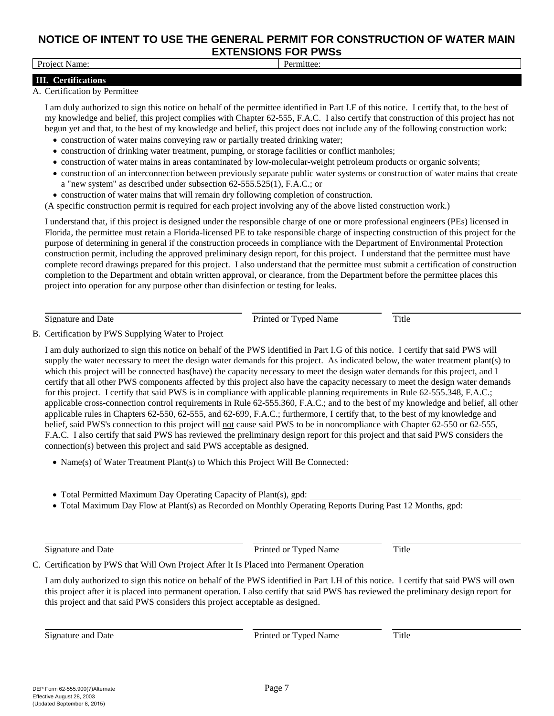#### Project Name: Permittee:

## 

#### **III. Certifications** A. Certification by Permittee

I am duly authorized to sign this notice on behalf of the permittee identified in Part I.F of this notice. I certify that, to the best of my knowledge and belief, this project complies with Chapter 62-555, F.A.C. I also certify that construction of this project has not begun yet and that, to the best of my knowledge and belief, this project does not include any of the following construction work:

- construction of water mains conveying raw or partially treated drinking water;
- construction of drinking water treatment, pumping, or storage facilities or conflict manholes;
- construction of water mains in areas contaminated by low-molecular-weight petroleum products or organic solvents;
- construction of an interconnection between previously separate public water systems or construction of water mains that create a "new system" as described under subsection 62-555.525(1), F.A.C.; or
- construction of water mains that will remain dry following completion of construction.

(A specific construction permit is required for each project involving any of the above listed construction work.)

I understand that, if this project is designed under the responsible charge of one or more professional engineers (PEs) licensed in Florida, the permittee must retain a Florida-licensed PE to take responsible charge of inspecting construction of this project for the purpose of determining in general if the construction proceeds in compliance with the Department of Environmental Protection construction permit, including the approved preliminary design report, for this project. I understand that the permittee must have complete record drawings prepared for this project. I also understand that the permittee must submit a certification of construction completion to the Department and obtain written approval, or clearance, from the Department before the permittee places this project into operation for any purpose other than disinfection or testing for leaks.

Signature and Date **Printed or Typed Name** Title **Printed or Typed Name** Title

B. Certification by PWS Supplying Water to Project

I am duly authorized to sign this notice on behalf of the PWS identified in Part I.G of this notice. I certify that said PWS will supply the water necessary to meet the design water demands for this project. As indicated below, the water treatment plant(s) to which this project will be connected has(have) the capacity necessary to meet the design water demands for this project, and I certify that all other PWS components affected by this project also have the capacity necessary to meet the design water demands for this project. I certify that said PWS is in compliance with applicable planning requirements in Rule 62-555.348, F.A.C.; applicable cross-connection control requirements in Rule 62-555.360, F.A.C.; and to the best of my knowledge and belief, all other applicable rules in Chapters 62-550, 62-555, and 62-699, F.A.C.; furthermore, I certify that, to the best of my knowledge and belief, said PWS's connection to this project will not cause said PWS to be in noncompliance with Chapter 62-550 or 62-555, F.A.C. I also certify that said PWS has reviewed the preliminary design report for this project and that said PWS considers the connection(s) between this project and said PWS acceptable as designed.

- Name(s) of Water Treatment Plant(s) to Which this Project Will Be Connected:
- Total Permitted Maximum Day Operating Capacity of Plant(s), gpd:
- Total Maximum Day Flow at Plant(s) as Recorded on Monthly Operating Reports During Past 12 Months, gpd:

Signature and Date **Prince of Typed Name** Title Prince of Typed Name Title

C. Certification by PWS that Will Own Project After It Is Placed into Permanent Operation

I am duly authorized to sign this notice on behalf of the PWS identified in Part I.H of this notice. I certify that said PWS will own this project after it is placed into permanent operation. I also certify that said PWS has reviewed the preliminary design report for this project and that said PWS considers this project acceptable as designed.

Signature and Date **Prince of Typed Name** Title Prince of Typed Name Title